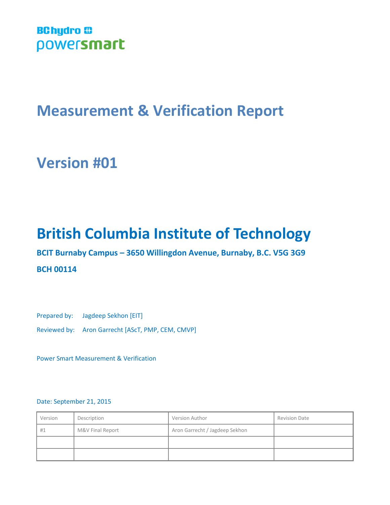# **BChydro @** powersmart

# **Measurement & Verification Report**

# **Version #01**

# **British Columbia Institute of Technology**

**BCIT Burnaby Campus – 3650 Willingdon Avenue, Burnaby, B.C. V5G 3G9**

## **BCH 00114**

Prepared by: Jagdeep Sekhon [EIT]

Reviewed by: Aron Garrecht [AScT, PMP, CEM, CMVP]

Power Smart Measurement & Verification

#### Date: September 21, 2015

| Version | Description      | Version Author                 | <b>Revision Date</b> |
|---------|------------------|--------------------------------|----------------------|
| #1      | M&V Final Report | Aron Garrecht / Jagdeep Sekhon |                      |
|         |                  |                                |                      |
|         |                  |                                |                      |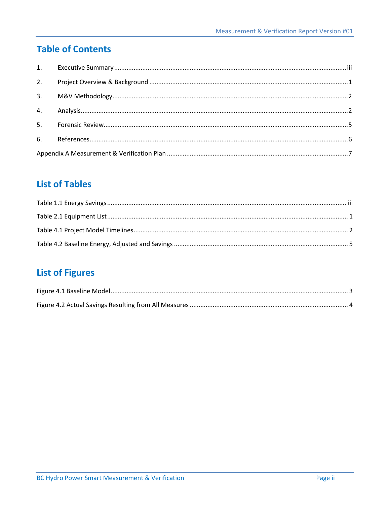# **Table of Contents**

| 2. |  |
|----|--|
|    |  |
|    |  |
|    |  |
|    |  |
|    |  |

# **List of Tables**

# **List of Figures**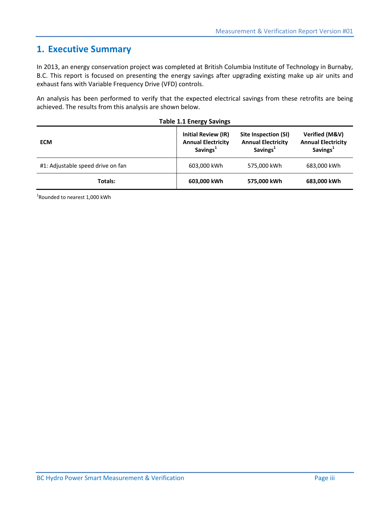## **1. Executive Summary**

In 2013, an energy conservation project was completed at British Columbia Institute of Technology in Burnaby, B.C. This report is focused on presenting the energy savings after upgrading existing make up air units and exhaust fans with Variable Frequency Drive (VFD) controls.

An analysis has been performed to verify that the expected electrical savings from these retrofits are being achieved. The results from this analysis are shown below.

<span id="page-2-0"></span>

| <b>Table 1.1 Energy Savings</b>   |                                                                                 |                                                                           |                                                                     |  |
|-----------------------------------|---------------------------------------------------------------------------------|---------------------------------------------------------------------------|---------------------------------------------------------------------|--|
| <b>ECM</b>                        | <b>Initial Review (IR)</b><br><b>Annual Electricity</b><br>Savings <sup>1</sup> | Site Inspection (SI)<br><b>Annual Electricity</b><br>Savings <sup>1</sup> | Verified (M&V)<br><b>Annual Electricity</b><br>Savings <sup>1</sup> |  |
| #1: Adjustable speed drive on fan | 603,000 kWh                                                                     | 575,000 kWh                                                               | 683,000 kWh                                                         |  |
| Totals:                           | 603,000 kWh                                                                     | 575,000 kWh                                                               | 683,000 kWh                                                         |  |

1 Rounded to nearest 1,000 kWh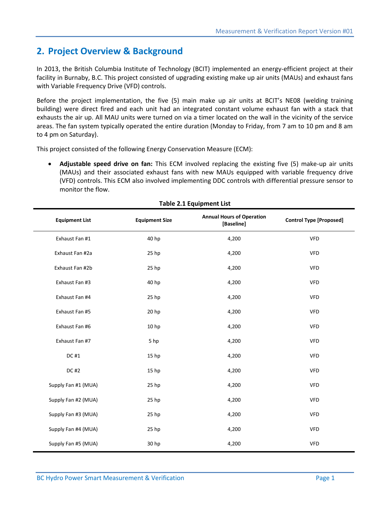## **2. Project Overview & Background**

In 2013, the British Columbia Institute of Technology (BCIT) implemented an energy-efficient project at their facility in Burnaby, B.C. This project consisted of upgrading existing make up air units (MAUs) and exhaust fans with Variable Frequency Drive (VFD) controls.

Before the project implementation, the five (5) main make up air units at BCIT's NE08 (welding training building) were direct fired and each unit had an integrated constant volume exhaust fan with a stack that exhausts the air up. All MAU units were turned on via a timer located on the wall in the vicinity of the service areas. The fan system typically operated the entire duration (Monday to Friday, from 7 am to 10 pm and 8 am to 4 pm on Saturday).

This project consisted of the following Energy Conservation Measure (ECM):

 **Adjustable speed drive on fan:** This ECM involved replacing the existing five (5) make-up air units (MAUs) and their associated exhaust fans with new MAUs equipped with variable frequency drive (VFD) controls. This ECM also involved implementing DDC controls with differential pressure sensor to monitor the flow.

<span id="page-3-0"></span>

| <b>Table 2.1 Equipment List</b> |                       |                                                |                                |  |  |
|---------------------------------|-----------------------|------------------------------------------------|--------------------------------|--|--|
| <b>Equipment List</b>           | <b>Equipment Size</b> | <b>Annual Hours of Operation</b><br>[Baseline] | <b>Control Type [Proposed]</b> |  |  |
| Exhaust Fan #1                  | 40 hp                 | 4,200                                          | <b>VFD</b>                     |  |  |
| Exhaust Fan #2a                 | 25 hp                 | 4,200                                          | <b>VFD</b>                     |  |  |
| Exhaust Fan #2b                 | 25 hp                 | 4,200                                          | <b>VFD</b>                     |  |  |
| Exhaust Fan #3                  | 40 hp                 | 4,200                                          | <b>VFD</b>                     |  |  |
| Exhaust Fan #4                  | 25 hp                 | 4,200                                          | <b>VFD</b>                     |  |  |
| Exhaust Fan #5                  | 20 hp                 | 4,200                                          | <b>VFD</b>                     |  |  |
| Exhaust Fan #6                  | 10 hp                 | 4,200                                          | <b>VFD</b>                     |  |  |
| Exhaust Fan #7                  | 5 hp                  | 4,200                                          | <b>VFD</b>                     |  |  |
| DC #1                           | 15 <sub>hp</sub>      | 4,200                                          | <b>VFD</b>                     |  |  |
| DC #2                           | 15 hp                 | 4,200                                          | <b>VFD</b>                     |  |  |
| Supply Fan #1 (MUA)             | 25 hp                 | 4,200                                          | <b>VFD</b>                     |  |  |
| Supply Fan #2 (MUA)             | 25 hp                 | 4,200                                          | <b>VFD</b>                     |  |  |
| Supply Fan #3 (MUA)             | 25 hp                 | 4,200                                          | <b>VFD</b>                     |  |  |
| Supply Fan #4 (MUA)             | 25 hp                 | 4,200                                          | <b>VFD</b>                     |  |  |
| Supply Fan #5 (MUA)             | 30 hp                 | 4,200                                          | VFD                            |  |  |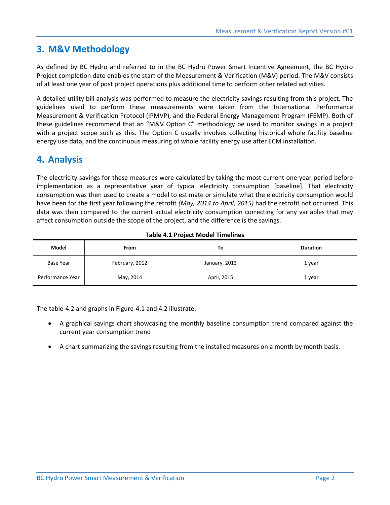## **3. M&V Methodology**

As defined by BC Hydro and referred to in the BC Hydro Power Smart Incentive Agreement, the BC Hydro Project completion date enables the start of the Measurement & Verification (M&V) period. The M&V consists of at least one year of post project operations plus additional time to perform other related activities.

A detailed utility bill analysis was performed to measure the electricity savings resulting from this project. The guidelines used to perform these measurements were taken from the International Performance Measurement & Verification Protocol (IPMVP), and the Federal Energy Management Program (FEMP). Both of these guidelines recommend that an "M&V Option C" methodology be used to monitor savings in a project with a project scope such as this. The Option C usually involves collecting historical whole facility baseline energy use data, and the continuous measuring of whole facility energy use after ECM installation.

# **4. Analysis**

The electricity savings for these measures were calculated by taking the most current one year period before implementation as a representative year of typical electricity consumption [baseline]. That electricity consumption was then used to create a model to estimate or simulate what the electricity consumption would have been for the first year following the retrofit *(May, 2014 to April, 2015)* had the retrofit not occurred. This data was then compared to the current actual electricity consumption correcting for any variables that may affect consumption outside the scope of the project, and the difference is the savings.

<span id="page-4-0"></span>

| Model            | <b>From</b>    | To            | <b>Duration</b> |
|------------------|----------------|---------------|-----------------|
| <b>Base Year</b> | February, 2012 | January, 2013 | 1 year          |
| Performance Year | May, 2014      | April, 2015   | 1 year          |

#### **Table 4.1 Project Model Timelines**

The table-4.2 and graphs in Figure-4.1 and 4.2 illustrate:

- A graphical savings chart showcasing the monthly baseline consumption trend compared against the current year consumption trend
- A chart summarizing the savings resulting from the installed measures on a month by month basis.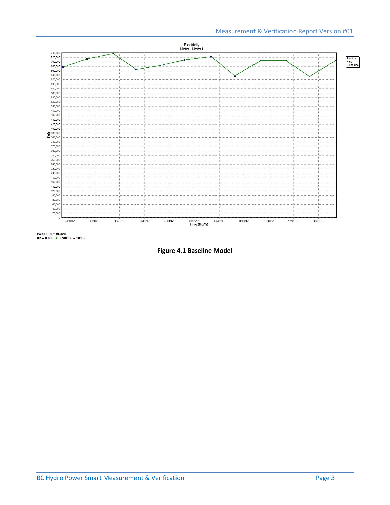

<span id="page-5-0"></span>kWh=  $(0.0 * #Days)$ <br>R2 = 0.000 + CVRMSE = 104.55

**Figure 4.1 Baseline Model**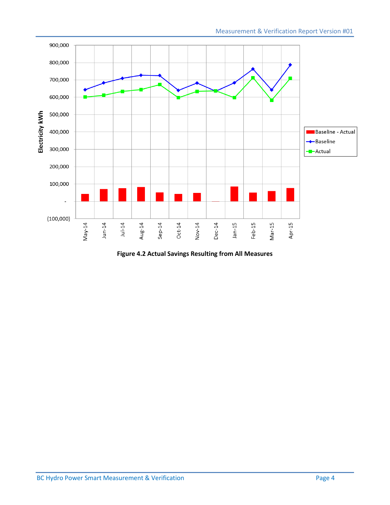

<span id="page-6-0"></span>**Figure 4.2 Actual Savings Resulting from All Measures**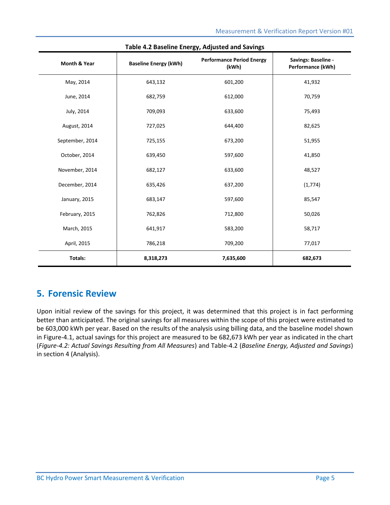<span id="page-7-0"></span>

| Month & Year    | <b>Baseline Energy (kWh)</b> | <b>Performance Period Energy</b><br>(kWh) | Savings: Baseline -<br>Performance (kWh) |
|-----------------|------------------------------|-------------------------------------------|------------------------------------------|
| May, 2014       | 643,132                      | 601,200                                   | 41,932                                   |
| June, 2014      | 682,759                      | 612,000                                   | 70,759                                   |
| July, 2014      | 709,093                      | 633,600                                   | 75,493                                   |
| August, 2014    | 727,025                      | 644,400                                   | 82,625                                   |
| September, 2014 | 725,155                      | 673,200                                   | 51,955                                   |
| October, 2014   | 639,450                      | 597,600                                   | 41,850                                   |
| November, 2014  | 682,127                      | 633,600                                   | 48,527                                   |
| December, 2014  | 635,426                      | 637,200                                   | (1,774)                                  |
| January, 2015   | 683,147                      | 597,600                                   | 85,547                                   |
| February, 2015  | 762,826                      | 712,800                                   | 50,026                                   |
| March, 2015     | 641,917                      | 583,200                                   | 58,717                                   |
| April, 2015     | 786,218                      | 709,200                                   | 77,017                                   |
| Totals:         | 8,318,273                    | 7,635,600                                 | 682,673                                  |

#### **Table 4.2 Baseline Energy, Adjusted and Savings**

## **5. Forensic Review**

Upon initial review of the savings for this project, it was determined that this project is in fact performing better than anticipated. The original savings for all measures within the scope of this project were estimated to be 603,000 kWh per year. Based on the results of the analysis using billing data, and the baseline model shown in Figure-4.1, actual savings for this project are measured to be 682,673 kWh per year as indicated in the chart (*Figure-4.2: Actual Savings Resulting from All Measures*) and Table-4.2 (*Baseline Energy, Adjusted and Savings*) in section 4 (Analysis).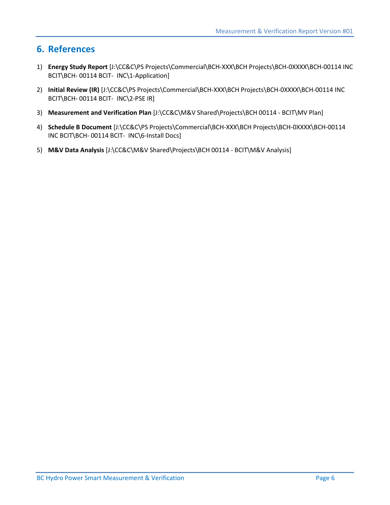## **6. References**

- 1) **Energy Study Report** [J:\CC&C\PS Projects\Commercial\BCH-XXX\BCH Projects\BCH-0XXXX\BCH-00114 INC BCIT\BCH- 00114 BCIT- INC\1-Application]
- 2) **Initial Review (IR)** [J:\CC&C\PS Projects\Commercial\BCH-XXX\BCH Projects\BCH-0XXXX\BCH-00114 INC BCIT\BCH- 00114 BCIT- INC\2-PSE IR]
- 3) **Measurement and Verification Plan** [J:\CC&C\M&V Shared\Projects\BCH 00114 BCIT\MV Plan]
- 4) **Schedule B Document** [J:\CC&C\PS Projects\Commercial\BCH-XXX\BCH Projects\BCH-0XXXX\BCH-00114 INC BCIT\BCH- 00114 BCIT- INC\6-Install Docs]
- 5) **M&V Data Analysis** [J:\CC&C\M&V Shared\Projects\BCH 00114 BCIT\M&V Analysis]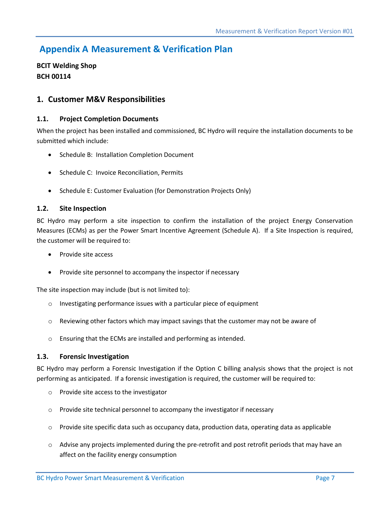# **Appendix A Measurement & Verification Plan**

**BCIT Welding Shop BCH 00114**

### **1. Customer M&V Responsibilities**

#### **1.1. Project Completion Documents**

When the project has been installed and commissioned, BC Hydro will require the installation documents to be submitted which include:

- Schedule B: Installation Completion Document
- Schedule C: Invoice Reconciliation, Permits
- Schedule E: Customer Evaluation (for Demonstration Projects Only)

#### **1.2. Site Inspection**

BC Hydro may perform a site inspection to confirm the installation of the project Energy Conservation Measures (ECMs) as per the Power Smart Incentive Agreement (Schedule A). If a Site Inspection is required, the customer will be required to:

- Provide site access
- Provide site personnel to accompany the inspector if necessary

The site inspection may include (but is not limited to):

- o Investigating performance issues with a particular piece of equipment
- $\circ$  Reviewing other factors which may impact savings that the customer may not be aware of
- o Ensuring that the ECMs are installed and performing as intended.

#### **1.3. Forensic Investigation**

BC Hydro may perform a Forensic Investigation if the Option C billing analysis shows that the project is not performing as anticipated. If a forensic investigation is required, the customer will be required to:

- o Provide site access to the investigator
- o Provide site technical personnel to accompany the investigator if necessary
- $\circ$  Provide site specific data such as occupancy data, production data, operating data as applicable
- o Advise any projects implemented during the pre-retrofit and post retrofit periods that may have an affect on the facility energy consumption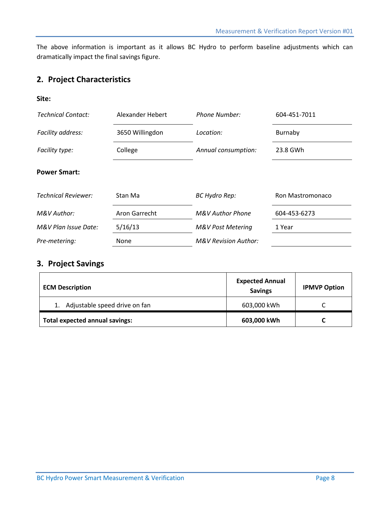The above information is important as it allows BC Hydro to perform baseline adjustments which can dramatically impact the final savings figure.

## **2. Project Characteristics**

#### **Site:**

| <b>Technical Contact:</b>  | Alexander Hebert | <b>Phone Number:</b>            | 604-451-7011            |
|----------------------------|------------------|---------------------------------|-------------------------|
| Facility address:          | 3650 Willingdon  | Location:                       | Burnaby                 |
| Facility type:             | College          | Annual consumption:             | 23.8 GWh                |
| <b>Power Smart:</b>        |                  |                                 |                         |
| <b>Technical Reviewer:</b> | Stan Ma          | <b>BC Hydro Rep:</b>            | <b>Ron Mastromonaco</b> |
| M&V Author:                | Aron Garrecht    | <b>M&amp;V Author Phone</b>     | 604-453-6273            |
| M&V Plan Issue Date:       | 5/16/13          | <b>M&amp;V Post Metering</b>    | 1 Year                  |
| Pre-metering:              | <b>None</b>      | <b>M&amp;V Revision Author:</b> |                         |

## **3. Project Savings**

| <b>ECM Description</b>                | <b>Expected Annual</b><br><b>Savings</b> | <b>IPMVP Option</b> |
|---------------------------------------|------------------------------------------|---------------------|
| Adjustable speed drive on fan         | 603,000 kWh                              |                     |
| <b>Total expected annual savings:</b> | 603,000 kWh                              |                     |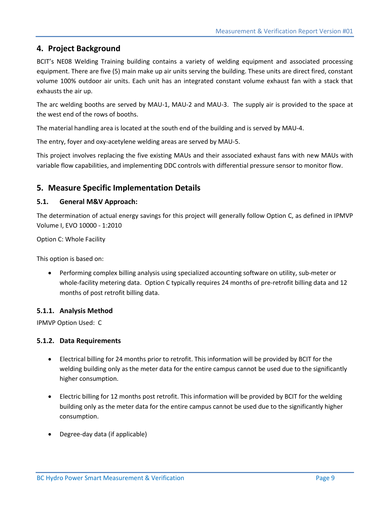## **4. Project Background**

BCIT's NE08 Welding Training building contains a variety of welding equipment and associated processing equipment. There are five (5) main make up air units serving the building. These units are direct fired, constant volume 100% outdoor air units. Each unit has an integrated constant volume exhaust fan with a stack that exhausts the air up.

The arc welding booths are served by MAU-1, MAU-2 and MAU-3. The supply air is provided to the space at the west end of the rows of booths.

The material handling area is located at the south end of the building and is served by MAU-4.

The entry, foyer and oxy-acetylene welding areas are served by MAU-5.

This project involves replacing the five existing MAUs and their associated exhaust fans with new MAUs with variable flow capabilities, and implementing DDC controls with differential pressure sensor to monitor flow.

### **5. Measure Specific Implementation Details**

#### **5.1. General M&V Approach:**

The determination of actual energy savings for this project will generally follow Option C, as defined in IPMVP Volume I, EVO 10000 - 1:2010

Option C: Whole Facility

This option is based on:

 Performing complex billing analysis using specialized accounting software on utility, sub-meter or whole-facility metering data. Option C typically requires 24 months of pre-retrofit billing data and 12 months of post retrofit billing data.

#### **5.1.1. Analysis Method**

IPMVP Option Used: C

#### **5.1.2. Data Requirements**

- Electrical billing for 24 months prior to retrofit. This information will be provided by BCIT for the welding building only as the meter data for the entire campus cannot be used due to the significantly higher consumption.
- Electric billing for 12 months post retrofit. This information will be provided by BCIT for the welding building only as the meter data for the entire campus cannot be used due to the significantly higher consumption.
- Degree-day data (if applicable)